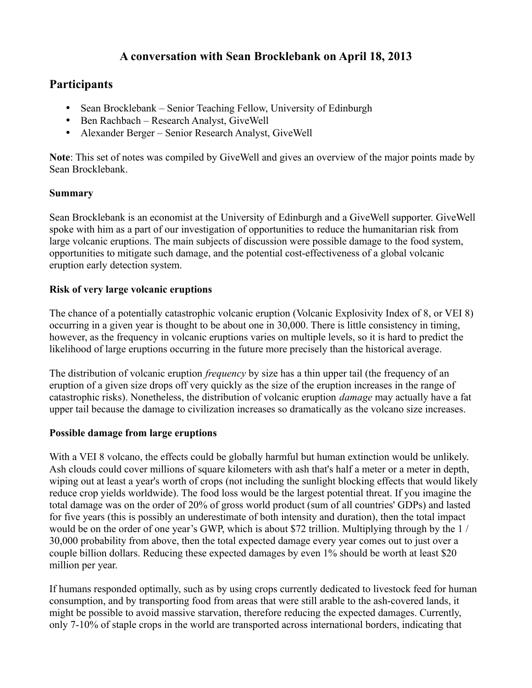# **A conversation with Sean Brocklebank on April 18, 2013**

# **Participants**

- Sean Brocklebank Senior Teaching Fellow, University of Edinburgh
- Ben Rachbach Research Analyst, GiveWell
- Alexander Berger Senior Research Analyst, GiveWell

**Note**: This set of notes was compiled by GiveWell and gives an overview of the major points made by Sean Brocklebank.

### **Summary**

Sean Brocklebank is an economist at the University of Edinburgh and a GiveWell supporter. GiveWell spoke with him as a part of our investigation of opportunities to reduce the humanitarian risk from large volcanic eruptions. The main subjects of discussion were possible damage to the food system, opportunities to mitigate such damage, and the potential cost-effectiveness of a global volcanic eruption early detection system.

### **Risk of very large volcanic eruptions**

The chance of a potentially catastrophic volcanic eruption (Volcanic Explosivity Index of 8, or VEI 8) occurring in a given year is thought to be about one in 30,000. There is little consistency in timing, however, as the frequency in volcanic eruptions varies on multiple levels, so it is hard to predict the likelihood of large eruptions occurring in the future more precisely than the historical average.

The distribution of volcanic eruption *frequency* by size has a thin upper tail (the frequency of an eruption of a given size drops off very quickly as the size of the eruption increases in the range of catastrophic risks). Nonetheless, the distribution of volcanic eruption *damage* may actually have a fat upper tail because the damage to civilization increases so dramatically as the volcano size increases.

### **Possible damage from large eruptions**

With a VEI 8 volcano, the effects could be globally harmful but human extinction would be unlikely. Ash clouds could cover millions of square kilometers with ash that's half a meter or a meter in depth, wiping out at least a year's worth of crops (not including the sunlight blocking effects that would likely reduce crop yields worldwide). The food loss would be the largest potential threat. If you imagine the total damage was on the order of 20% of gross world product (sum of all countries' GDPs) and lasted for five years (this is possibly an underestimate of both intensity and duration), then the total impact would be on the order of one year's GWP, which is about \$72 trillion. Multiplying through by the 1 / 30,000 probability from above, then the total expected damage every year comes out to just over a couple billion dollars. Reducing these expected damages by even 1% should be worth at least \$20 million per year.

If humans responded optimally, such as by using crops currently dedicated to livestock feed for human consumption, and by transporting food from areas that were still arable to the ash-covered lands, it might be possible to avoid massive starvation, therefore reducing the expected damages. Currently, only 7-10% of staple crops in the world are transported across international borders, indicating that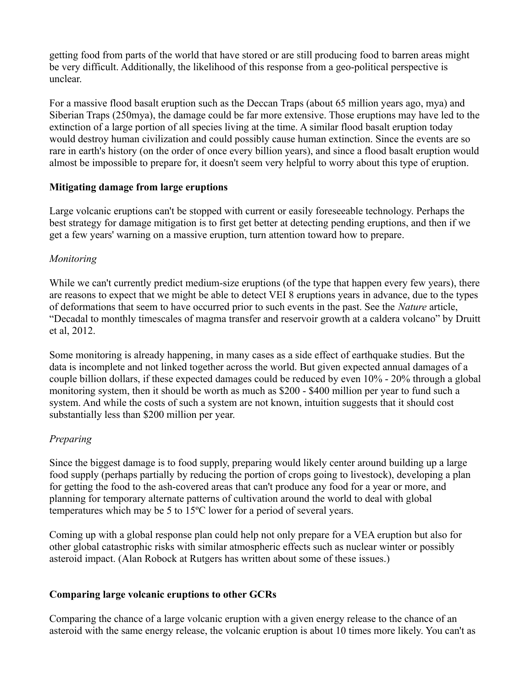getting food from parts of the world that have stored or are still producing food to barren areas might be very difficult. Additionally, the likelihood of this response from a geo-political perspective is unclear.

For a massive flood basalt eruption such as the Deccan Traps (about 65 million years ago, mya) and Siberian Traps (250mya), the damage could be far more extensive. Those eruptions may have led to the extinction of a large portion of all species living at the time. A similar flood basalt eruption today would destroy human civilization and could possibly cause human extinction. Since the events are so rare in earth's history (on the order of once every billion years), and since a flood basalt eruption would almost be impossible to prepare for, it doesn't seem very helpful to worry about this type of eruption.

### **Mitigating damage from large eruptions**

Large volcanic eruptions can't be stopped with current or easily foreseeable technology. Perhaps the best strategy for damage mitigation is to first get better at detecting pending eruptions, and then if we get a few years' warning on a massive eruption, turn attention toward how to prepare.

#### *Monitoring*

While we can't currently predict medium-size eruptions (of the type that happen every few years), there are reasons to expect that we might be able to detect VEI 8 eruptions years in advance, due to the types of deformations that seem to have occurred prior to such events in the past. See the *Nature* article, "Decadal to monthly timescales of magma transfer and reservoir growth at a caldera volcano" by Druitt et al, 2012.

Some monitoring is already happening, in many cases as a side effect of earthquake studies. But the data is incomplete and not linked together across the world. But given expected annual damages of a couple billion dollars, if these expected damages could be reduced by even 10% - 20% through a global monitoring system, then it should be worth as much as \$200 - \$400 million per year to fund such a system. And while the costs of such a system are not known, intuition suggests that it should cost substantially less than \$200 million per year.

### *Preparing*

Since the biggest damage is to food supply, preparing would likely center around building up a large food supply (perhaps partially by reducing the portion of crops going to livestock), developing a plan for getting the food to the ash-covered areas that can't produce any food for a year or more, and planning for temporary alternate patterns of cultivation around the world to deal with global temperatures which may be 5 to 15ºC lower for a period of several years.

Coming up with a global response plan could help not only prepare for a VEA eruption but also for other global catastrophic risks with similar atmospheric effects such as nuclear winter or possibly asteroid impact. (Alan Robock at Rutgers has written about some of these issues.)

### **Comparing large volcanic eruptions to other GCRs**

Comparing the chance of a large volcanic eruption with a given energy release to the chance of an asteroid with the same energy release, the volcanic eruption is about 10 times more likely. You can't as